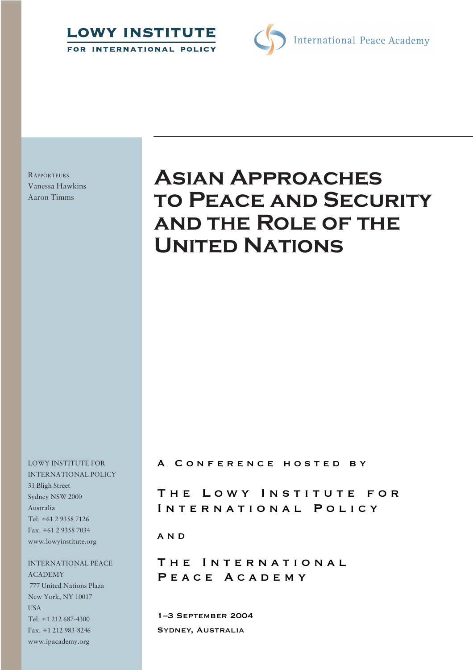



**RAPPORTEURS** Vanessa Hawkins Aaron Timms

# **Asian Approaches to Peace and Security and the Role of the United Nations**

LOWY INSTITUTE FOR INTERNATIONAL POLICY 31 Bligh Street Sydney NSW 2000 Australia Tel: +61 2 9358 7126 Fax: +61 2 9358 7034 www.lowyinstitute.org

INTERNATIONAL PEACE ACADEMY 777 United Nations Plaza New York, NY 10017 USA Tel: +1 212 687-4300 Fax: +1 212 983-8246 www.ipacademy.org

A CONFERENCE HOSTED BY

THE LOWY INSTITUTE FOR INTERNATIONAL POLICY

a n d

THE INTERNATIONAL PEACE ACADEMY

1–3 September 2004 Sydney, Australia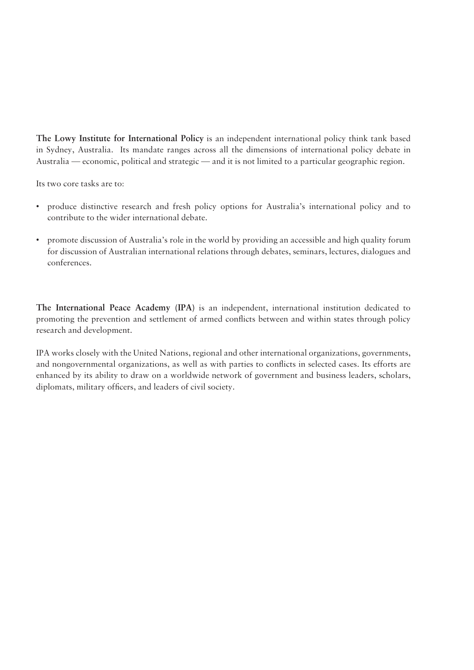**The Lowy Institute for International Policy** is an independent international policy think tank based in Sydney, Australia. Its mandate ranges across all the dimensions of international policy debate in Australia — economic, political and strategic — and it is not limited to a particular geographic region.

Its two core tasks are to:

- produce distinctive research and fresh policy options for Australia's international policy and to contribute to the wider international debate.
- promote discussion of Australia's role in the world by providing an accessible and high quality forum for discussion of Australian international relations through debates, seminars, lectures, dialogues and conferences.

**The International Peace Academy (IPA)** is an independent, international institution dedicated to promoting the prevention and settlement of armed conflicts between and within states through policy research and development.

IPA works closely with the United Nations, regional and other international organizations, governments, and nongovernmental organizations, as well as with parties to conflicts in selected cases. Its efforts are enhanced by its ability to draw on a worldwide network of government and business leaders, scholars, diplomats, military officers, and leaders of civil society.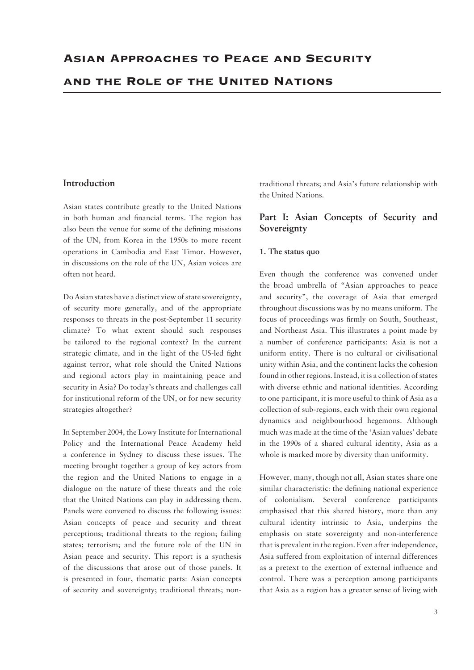#### **Introduction**

Asian states contribute greatly to the United Nations in both human and financial terms. The region has also been the venue for some of the defining missions of the UN, from Korea in the 1950s to more recent operations in Cambodia and East Timor. However, in discussions on the role of the UN, Asian voices are often not heard.

Do Asian states have a distinct view of state sovereignty, of security more generally, and of the appropriate responses to threats in the post-September 11 security climate? To what extent should such responses be tailored to the regional context? In the current strategic climate, and in the light of the US-led fight against terror, what role should the United Nations and regional actors play in maintaining peace and security in Asia? Do today's threats and challenges call for institutional reform of the UN, or for new security strategies altogether?

In September 2004, the Lowy Institute for International Policy and the International Peace Academy held a conference in Sydney to discuss these issues. The meeting brought together a group of key actors from the region and the United Nations to engage in a dialogue on the nature of these threats and the role that the United Nations can play in addressing them. Panels were convened to discuss the following issues: Asian concepts of peace and security and threat perceptions; traditional threats to the region; failing states; terrorism; and the future role of the UN in Asian peace and security. This report is a synthesis of the discussions that arose out of those panels. It is presented in four, thematic parts: Asian concepts of security and sovereignty; traditional threats; nontraditional threats; and Asia's future relationship with the United Nations.

### **Part I: Asian Concepts of Security and Sovereignty**

#### **1. The status quo**

Even though the conference was convened under the broad umbrella of "Asian approaches to peace and security", the coverage of Asia that emerged throughout discussions was by no means uniform. The focus of proceedings was firmly on South, Southeast, and Northeast Asia. This illustrates a point made by a number of conference participants: Asia is not a uniform entity. There is no cultural or civilisational unity within Asia, and the continent lacks the cohesion found in other regions. Instead, it is a collection of states with diverse ethnic and national identities. According to one participant, it is more useful to think of Asia as a collection of sub-regions, each with their own regional dynamics and neighbourhood hegemons. Although much was made at the time of the 'Asian values' debate in the 1990s of a shared cultural identity, Asia as a whole is marked more by diversity than uniformity.

However, many, though not all, Asian states share one similar characteristic: the defining national experience of colonialism. Several conference participants emphasised that this shared history, more than any cultural identity intrinsic to Asia, underpins the emphasis on state sovereignty and non-interference that is prevalent in the region. Even after independence, Asia suffered from exploitation of internal differences as a pretext to the exertion of external influence and control. There was a perception among participants that Asia as a region has a greater sense of living with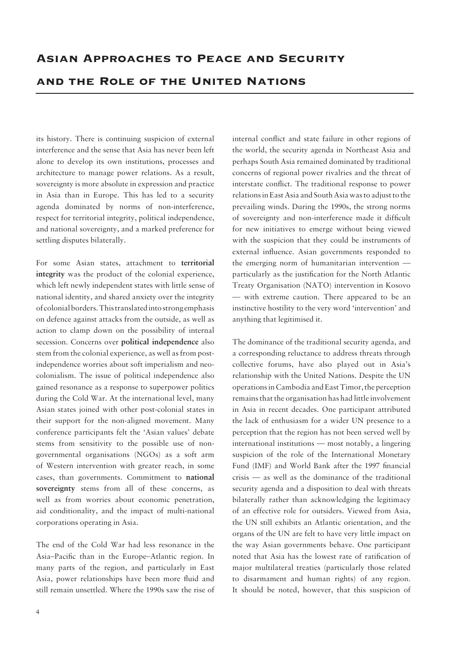its history. There is continuing suspicion of external interference and the sense that Asia has never been left alone to develop its own institutions, processes and architecture to manage power relations. As a result, sovereignty is more absolute in expression and practice in Asia than in Europe. This has led to a security agenda dominated by norms of non-interference, respect for territorial integrity, political independence, and national sovereignty, and a marked preference for settling disputes bilaterally.

For some Asian states, attachment to **territorial integrity** was the product of the colonial experience, which left newly independent states with little sense of national identity, and shared anxiety over the integrity of colonial borders. This translated into strong emphasis on defence against attacks from the outside, as well as action to clamp down on the possibility of internal secession. Concerns over **political independence** also stem from the colonial experience, as well as from postindependence worries about soft imperialism and neocolonialism. The issue of political independence also gained resonance as a response to superpower politics during the Cold War. At the international level, many Asian states joined with other post-colonial states in their support for the non-aligned movement. Many conference participants felt the 'Asian values' debate stems from sensitivity to the possible use of nongovernmental organisations (NGOs) as a soft arm of Western intervention with greater reach, in some cases, than governments. Commitment to **national sovereignty** stems from all of these concerns, as well as from worries about economic penetration, aid conditionality, and the impact of multi-national corporations operating in Asia.

The end of the Cold War had less resonance in the Asia–Pacific than in the Europe–Atlantic region. In many parts of the region, and particularly in East Asia, power relationships have been more fluid and still remain unsettled. Where the 1990s saw the rise of internal conflict and state failure in other regions of the world, the security agenda in Northeast Asia and perhaps South Asia remained dominated by traditional concerns of regional power rivalries and the threat of interstate conflict. The traditional response to power relations in East Asia and South Asia was to adjust to the prevailing winds. During the 1990s, the strong norms of sovereignty and non-interference made it difficult for new initiatives to emerge without being viewed with the suspicion that they could be instruments of external influence. Asian governments responded to the emerging norm of humanitarian intervention particularly as the justification for the North Atlantic Treaty Organisation (NATO) intervention in Kosovo — with extreme caution. There appeared to be an instinctive hostility to the very word 'intervention' and anything that legitimised it.

The dominance of the traditional security agenda, and a corresponding reluctance to address threats through collective forums, have also played out in Asia's relationship with the United Nations. Despite the UN operations in Cambodia and East Timor, the perception remains that the organisation has had little involvement in Asia in recent decades. One participant attributed the lack of enthusiasm for a wider UN presence to a perception that the region has not been served well by international institutions — most notably, a lingering suspicion of the role of the International Monetary Fund (IMF) and World Bank after the 1997 financial crisis — as well as the dominance of the traditional security agenda and a disposition to deal with threats bilaterally rather than acknowledging the legitimacy of an effective role for outsiders. Viewed from Asia, the UN still exhibits an Atlantic orientation, and the organs of the UN are felt to have very little impact on the way Asian governments behave. One participant noted that Asia has the lowest rate of ratification of major multilateral treaties (particularly those related to disarmament and human rights) of any region. It should be noted, however, that this suspicion of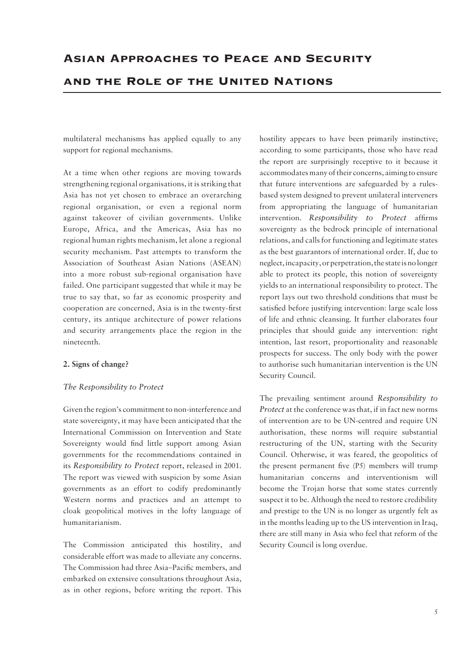multilateral mechanisms has applied equally to any support for regional mechanisms.

At a time when other regions are moving towards strengthening regional organisations, it is striking that Asia has not yet chosen to embrace an overarching regional organisation, or even a regional norm against takeover of civilian governments. Unlike Europe, Africa, and the Americas, Asia has no regional human rights mechanism, let alone a regional security mechanism. Past attempts to transform the Association of Southeast Asian Nations (ASEAN) into a more robust sub-regional organisation have failed. One participant suggested that while it may be true to say that, so far as economic prosperity and cooperation are concerned, Asia is in the twenty-first century, its antique architecture of power relations and security arrangements place the region in the nineteenth.

#### **2. Signs of change?**

#### *The Responsibility to Protect*

Given the region's commitment to non-interference and state sovereignty, it may have been anticipated that the International Commission on Intervention and State Sovereignty would find little support among Asian governments for the recommendations contained in its *Responsibility to Protect* report, released in 2001. The report was viewed with suspicion by some Asian governments as an effort to codify predominantly Western norms and practices and an attempt to cloak geopolitical motives in the lofty language of humanitarianism.

The Commission anticipated this hostility, and considerable effort was made to alleviate any concerns. The Commission had three Asia–Pacific members, and embarked on extensive consultations throughout Asia, as in other regions, before writing the report. This

hostility appears to have been primarily instinctive; according to some participants, those who have read the report are surprisingly receptive to it because it accommodates many of their concerns, aiming to ensure that future interventions are safeguarded by a rulesbased system designed to prevent unilateral interveners from appropriating the language of humanitarian intervention. *Responsibility to Protect* affirms sovereignty as the bedrock principle of international relations, and calls for functioning and legitimate states as the best guarantors of international order. If, due to neglect, incapacity, or perpetration, the state is no longer able to protect its people, this notion of sovereignty yields to an international responsibility to protect. The report lays out two threshold conditions that must be satisfied before justifying intervention: large scale loss of life and ethnic cleansing. It further elaborates four principles that should guide any intervention: right intention, last resort, proportionality and reasonable prospects for success. The only body with the power to authorise such humanitarian intervention is the UN Security Council.

The prevailing sentiment around *Responsibility to Protect* at the conference was that, if in fact new norms of intervention are to be UN-centred and require UN authorisation, these norms will require substantial restructuring of the UN, starting with the Security Council. Otherwise, it was feared, the geopolitics of the present permanent five (P5) members will trump humanitarian concerns and interventionism will become the Trojan horse that some states currently suspect it to be. Although the need to restore credibility and prestige to the UN is no longer as urgently felt as in the months leading up to the US intervention in Iraq, there are still many in Asia who feel that reform of the Security Council is long overdue.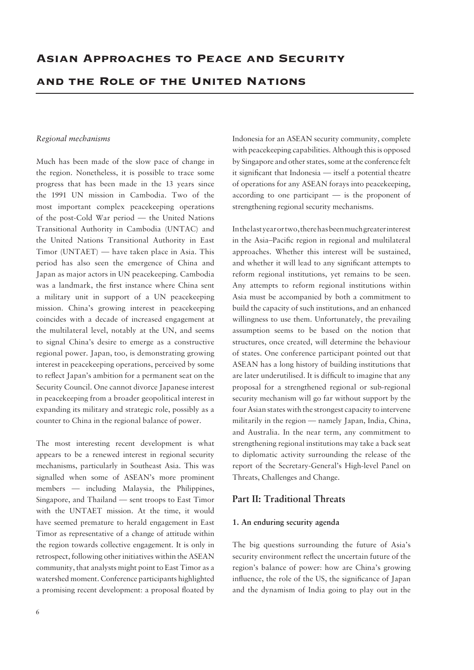#### *Regional mechanisms*

Much has been made of the slow pace of change in the region. Nonetheless, it is possible to trace some progress that has been made in the 13 years since the 1991 UN mission in Cambodia. Two of the most important complex peacekeeping operations of the post-Cold War period — the United Nations Transitional Authority in Cambodia (UNTAC) and the United Nations Transitional Authority in East Timor (UNTAET) — have taken place in Asia. This period has also seen the emergence of China and Japan as major actors in UN peacekeeping. Cambodia was a landmark, the first instance where China sent a military unit in support of a UN peacekeeping mission. China's growing interest in peacekeeping coincides with a decade of increased engagement at the multilateral level, notably at the UN, and seems to signal China's desire to emerge as a constructive regional power. Japan, too, is demonstrating growing interest in peacekeeping operations, perceived by some to reflect Japan's ambition for a permanent seat on the Security Council. One cannot divorce Japanese interest in peacekeeping from a broader geopolitical interest in expanding its military and strategic role, possibly as a counter to China in the regional balance of power.

The most interesting recent development is what appears to be a renewed interest in regional security mechanisms, particularly in Southeast Asia. This was signalled when some of ASEAN's more prominent members — including Malaysia, the Philippines, Singapore, and Thailand — sent troops to East Timor with the UNTAET mission. At the time, it would have seemed premature to herald engagement in East Timor as representative of a change of attitude within the region towards collective engagement. It is only in retrospect, following other initiatives within the ASEAN community, that analysts might point to East Timor as a watershed moment. Conference participants highlighted a promising recent development: a proposal floated by Indonesia for an ASEAN security community, complete with peacekeeping capabilities. Although this is opposed by Singapore and other states, some at the conference felt it significant that Indonesia — itself a potential theatre of operations for any ASEAN forays into peacekeeping, according to one participant — is the proponent of strengthening regional security mechanisms.

In the last year or two, there has been much greater interest in the Asia–Pacific region in regional and multilateral approaches. Whether this interest will be sustained, and whether it will lead to any significant attempts to reform regional institutions, yet remains to be seen. Any attempts to reform regional institutions within Asia must be accompanied by both a commitment to build the capacity of such institutions, and an enhanced willingness to use them. Unfortunately, the prevailing assumption seems to be based on the notion that structures, once created, will determine the behaviour of states. One conference participant pointed out that ASEAN has a long history of building institutions that are later underutilised. It is difficult to imagine that any proposal for a strengthened regional or sub-regional security mechanism will go far without support by the four Asian states with the strongest capacity to intervene militarily in the region — namely Japan, India, China, and Australia. In the near term, any commitment to strengthening regional institutions may take a back seat to diplomatic activity surrounding the release of the report of the Secretary-General's High-level Panel on Threats, Challenges and Change.

#### **Part II: Traditional Threats**

#### **1. An enduring security agenda**

The big questions surrounding the future of Asia's security environment reflect the uncertain future of the region's balance of power: how are China's growing influence, the role of the US, the significance of Japan and the dynamism of India going to play out in the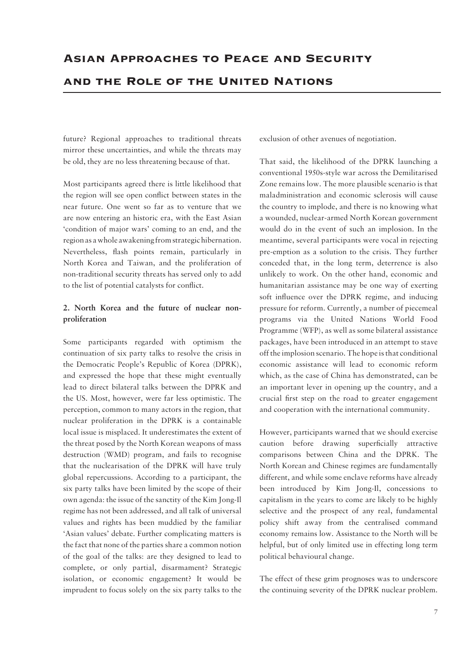future? Regional approaches to traditional threats mirror these uncertainties, and while the threats may be old, they are no less threatening because of that.

Most participants agreed there is little likelihood that the region will see open conflict between states in the near future. One went so far as to venture that we are now entering an historic era, with the East Asian 'condition of major wars' coming to an end, and the region as a whole awakening from strategic hibernation. Nevertheless, flash points remain, particularly in North Korea and Taiwan, and the proliferation of non-traditional security threats has served only to add to the list of potential catalysts for conflict.

### **2. North Korea and the future of nuclear nonproliferation**

Some participants regarded with optimism the continuation of six party talks to resolve the crisis in the Democratic People's Republic of Korea (DPRK), and expressed the hope that these might eventually lead to direct bilateral talks between the DPRK and the US. Most, however, were far less optimistic. The perception, common to many actors in the region, that nuclear proliferation in the DPRK is a containable local issue is misplaced. It underestimates the extent of the threat posed by the North Korean weapons of mass destruction (WMD) program, and fails to recognise that the nuclearisation of the DPRK will have truly global repercussions. According to a participant, the six party talks have been limited by the scope of their own agenda: the issue of the sanctity of the Kim Jong-Il regime has not been addressed, and all talk of universal values and rights has been muddied by the familiar 'Asian values' debate. Further complicating matters is the fact that none of the parties share a common notion of the goal of the talks: are they designed to lead to complete, or only partial, disarmament? Strategic isolation, or economic engagement? It would be imprudent to focus solely on the six party talks to the

exclusion of other avenues of negotiation.

That said, the likelihood of the DPRK launching a conventional 1950s-style war across the Demilitarised Zone remains low. The more plausible scenario is that maladministration and economic sclerosis will cause the country to implode, and there is no knowing what a wounded, nuclear-armed North Korean government would do in the event of such an implosion. In the meantime, several participants were vocal in rejecting pre-emption as a solution to the crisis. They further conceded that, in the long term, deterrence is also unlikely to work. On the other hand, economic and humanitarian assistance may be one way of exerting soft influence over the DPRK regime, and inducing pressure for reform. Currently, a number of piecemeal programs via the United Nations World Food Programme (WFP), as well as some bilateral assistance packages, have been introduced in an attempt to stave off the implosion scenario. The hope is that conditional economic assistance will lead to economic reform which, as the case of China has demonstrated, can be an important lever in opening up the country, and a crucial first step on the road to greater engagement and cooperation with the international community.

However, participants warned that we should exercise caution before drawing superficially attractive comparisons between China and the DPRK. The North Korean and Chinese regimes are fundamentally different, and while some enclave reforms have already been introduced by Kim Jong-Il, concessions to capitalism in the years to come are likely to be highly selective and the prospect of any real, fundamental policy shift away from the centralised command economy remains low. Assistance to the North will be helpful, but of only limited use in effecting long term political behavioural change.

The effect of these grim prognoses was to underscore the continuing severity of the DPRK nuclear problem.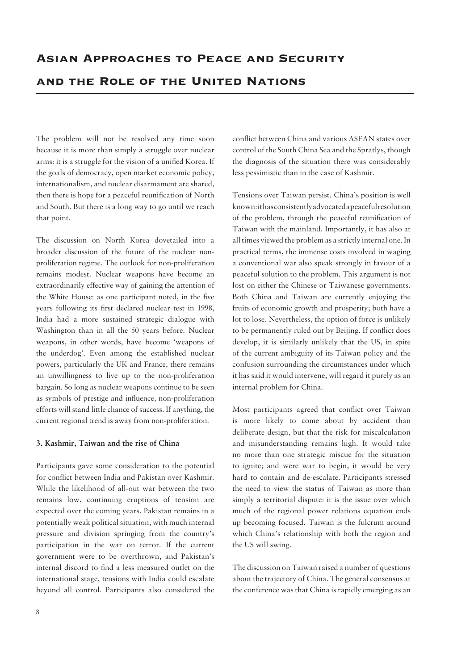The problem will not be resolved any time soon because it is more than simply a struggle over nuclear arms: it is a struggle for the vision of a unified Korea. If the goals of democracy, open market economic policy, internationalism, and nuclear disarmament are shared, then there is hope for a peaceful reunification of North and South. But there is a long way to go until we reach that point.

The discussion on North Korea dovetailed into a broader discussion of the future of the nuclear nonproliferation regime. The outlook for non-proliferation remains modest. Nuclear weapons have become an extraordinarily effective way of gaining the attention of the White House: as one participant noted, in the five years following its first declared nuclear test in 1998, India had a more sustained strategic dialogue with Washington than in all the 50 years before. Nuclear weapons, in other words, have become 'weapons of the underdog'. Even among the established nuclear powers, particularly the UK and France, there remains an unwillingness to live up to the non-proliferation bargain. So long as nuclear weapons continue to be seen as symbols of prestige and influence, non-proliferation efforts will stand little chance of success. If anything, the current regional trend is away from non-proliferation.

#### **3. Kashmir, Taiwan and the rise of China**

Participants gave some consideration to the potential for conflict between India and Pakistan over Kashmir. While the likelihood of all-out war between the two remains low, continuing eruptions of tension are expected over the coming years. Pakistan remains in a potentially weak political situation, with much internal pressure and division springing from the country's participation in the war on terror. If the current government were to be overthrown, and Pakistan's internal discord to find a less measured outlet on the international stage, tensions with India could escalate beyond all control. Participants also considered the conflict between China and various ASEAN states over control of the South China Sea and the Spratlys, though the diagnosis of the situation there was considerably less pessimistic than in the case of Kashmir.

Tensions over Taiwan persist. China's position is well known: it has consistently advocated a peaceful resolution of the problem, through the peaceful reunification of Taiwan with the mainland. Importantly, it has also at all times viewed the problem as a strictly internal one. In practical terms, the immense costs involved in waging a conventional war also speak strongly in favour of a peaceful solution to the problem. This argument is not lost on either the Chinese or Taiwanese governments. Both China and Taiwan are currently enjoying the fruits of economic growth and prosperity; both have a lot to lose. Nevertheless, the option of force is unlikely to be permanently ruled out by Beijing. If conflict does develop, it is similarly unlikely that the US, in spite of the current ambiguity of its Taiwan policy and the confusion surrounding the circumstances under which it has said it would intervene, will regard it purely as an internal problem for China.

Most participants agreed that conflict over Taiwan is more likely to come about by accident than deliberate design, but that the risk for miscalculation and misunderstanding remains high. It would take no more than one strategic miscue for the situation to ignite; and were war to begin, it would be very hard to contain and de-escalate. Participants stressed the need to view the status of Taiwan as more than simply a territorial dispute: it is the issue over which much of the regional power relations equation ends up becoming focused. Taiwan is the fulcrum around which China's relationship with both the region and the US will swing.

The discussion on Taiwan raised a number of questions about the trajectory of China. The general consensus at the conference was that China is rapidly emerging as an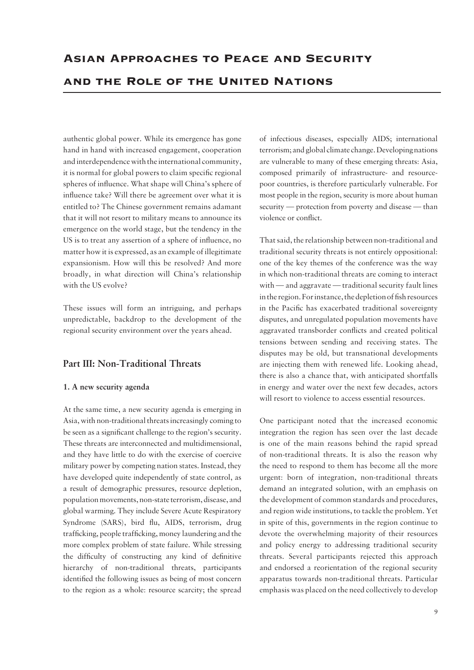authentic global power. While its emergence has gone hand in hand with increased engagement, cooperation and interdependence with the international community, it is normal for global powers to claim specific regional spheres of influence. What shape will China's sphere of influence take? Will there be agreement over what it is entitled to? The Chinese government remains adamant that it will not resort to military means to announce its emergence on the world stage, but the tendency in the US is to treat any assertion of a sphere of influence, no matter how it is expressed, as an example of illegitimate expansionism. How will this be resolved? And more broadly, in what direction will China's relationship with the US evolve?

These issues will form an intriguing, and perhaps unpredictable, backdrop to the development of the regional security environment over the years ahead.

### **Part III: Non-Traditional Threats**

#### **1. A new security agenda**

At the same time, a new security agenda is emerging in Asia, with non-traditional threats increasingly coming to be seen as a significant challenge to the region's security. These threats are interconnected and multidimensional, and they have little to do with the exercise of coercive military power by competing nation states. Instead, they have developed quite independently of state control, as a result of demographic pressures, resource depletion, population movements, non-state terrorism, disease, and global warming. They include Severe Acute Respiratory Syndrome (SARS), bird flu, AIDS, terrorism, drug trafficking, people trafficking, money laundering and the more complex problem of state failure. While stressing the difficulty of constructing any kind of definitive hierarchy of non-traditional threats, participants identified the following issues as being of most concern to the region as a whole: resource scarcity; the spread

of infectious diseases, especially AIDS; international terrorism; and global climate change. Developing nations are vulnerable to many of these emerging threats: Asia, composed primarily of infrastructure- and resourcepoor countries, is therefore particularly vulnerable. For most people in the region, security is more about human security — protection from poverty and disease — than violence or conflict.

That said, the relationship between non-traditional and traditional security threats is not entirely oppositional: one of the key themes of the conference was the way in which non-traditional threats are coming to interact with — and aggravate — traditional security fault lines in the region. For instance, the depletion of fish resources in the Pacific has exacerbated traditional sovereignty disputes, and unregulated population movements have aggravated transborder conflicts and created political tensions between sending and receiving states. The disputes may be old, but transnational developments are injecting them with renewed life. Looking ahead, there is also a chance that, with anticipated shortfalls in energy and water over the next few decades, actors will resort to violence to access essential resources.

One participant noted that the increased economic integration the region has seen over the last decade is one of the main reasons behind the rapid spread of non-traditional threats. It is also the reason why the need to respond to them has become all the more urgent: born of integration, non-traditional threats demand an integrated solution, with an emphasis on the development of common standards and procedures, and region wide institutions, to tackle the problem. Yet in spite of this, governments in the region continue to devote the overwhelming majority of their resources and policy energy to addressing traditional security threats. Several participants rejected this approach and endorsed a reorientation of the regional security apparatus towards non-traditional threats. Particular emphasis was placed on the need collectively to develop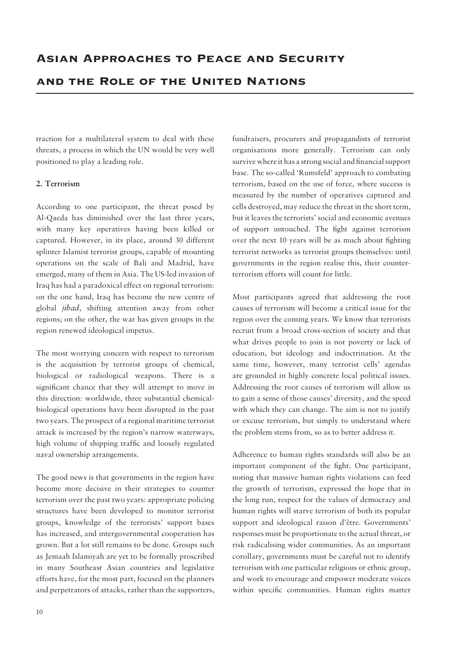traction for a multilateral system to deal with these threats, a process in which the UN would be very well positioned to play a leading role.

#### **2. Terrorism**

According to one participant, the threat posed by Al-Qaeda has diminished over the last three years, with many key operatives having been killed or captured. However, in its place, around 30 different splinter Islamist terrorist groups, capable of mounting operations on the scale of Bali and Madrid, have emerged, many of them in Asia. The US-led invasion of Iraq has had a paradoxical effect on regional terrorism: on the one hand, Iraq has become the new centre of global *jihad*, shifting attention away from other regions; on the other, the war has given groups in the region renewed ideological impetus.

The most worrying concern with respect to terrorism is the acquisition by terrorist groups of chemical, biological or radiological weapons. There is a significant chance that they will attempt to move in this direction: worldwide, three substantial chemicalbiological operations have been disrupted in the past two years. The prospect of a regional maritime terrorist attack is increased by the region's narrow waterways, high volume of shipping traffic and loosely regulated naval ownership arrangements.

The good news is that governments in the region have become more decisive in their strategies to counter terrorism over the past two years: appropriate policing structures have been developed to monitor terrorist groups, knowledge of the terrorists' support bases has increased, and intergovernmental cooperation has grown. But a lot still remains to be done. Groups such as Jemaah Islamiyah are yet to be formally proscribed in many Southeast Asian countries and legislative efforts have, for the most part, focused on the planners and perpetrators of attacks, rather than the supporters, fundraisers, procurers and propagandists of terrorist organisations more generally. Terrorism can only survive where it has a strong social and financial support base. The so-called 'Rumsfeld' approach to combating terrorism, based on the use of force, where success is measured by the number of operatives captured and cells destroyed, may reduce the threat in the short term, but it leaves the terrorists' social and economic avenues of support untouched. The fight against terrorism over the next 10 years will be as much about fighting terrorist networks as terrorist groups themselves: until governments in the region realise this, their counterterrorism efforts will count for little.

Most participants agreed that addressing the root causes of terrorism will become a critical issue for the region over the coming years. We know that terrorists recruit from a broad cross-section of society and that what drives people to join is not poverty or lack of education, but ideology and indoctrination. At the same time, however, many terrorist cells' agendas are grounded in highly concrete local political issues. Addressing the root causes of terrorism will allow us to gain a sense of those causes' diversity, and the speed with which they can change. The aim is not to justify or excuse terrorism, but simply to understand where the problem stems from, so as to better address it.

Adherence to human rights standards will also be an important component of the fight. One participant, noting that massive human rights violations can feed the growth of terrorism, expressed the hope that in the long run, respect for the values of democracy and human rights will starve terrorism of both its popular support and ideological raison d'être. Governments' responses must be proportionate to the actual threat, or risk radicalising wider communities. As an important corollary, governments must be careful not to identify terrorism with one particular religious or ethnic group, and work to encourage and empower moderate voices within specific communities. Human rights matter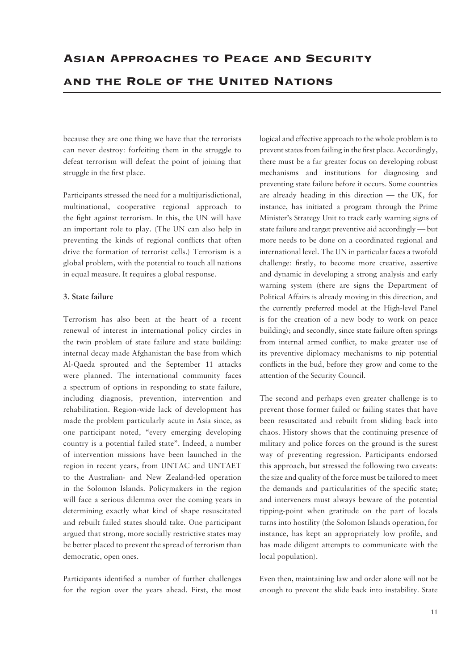because they are one thing we have that the terrorists can never destroy: forfeiting them in the struggle to defeat terrorism will defeat the point of joining that struggle in the first place.

Participants stressed the need for a multijurisdictional, multinational, cooperative regional approach to the fight against terrorism. In this, the UN will have an important role to play. (The UN can also help in preventing the kinds of regional conflicts that often drive the formation of terrorist cells.) Terrorism is a global problem, with the potential to touch all nations in equal measure. It requires a global response.

#### **3. State failure**

Terrorism has also been at the heart of a recent renewal of interest in international policy circles in the twin problem of state failure and state building: internal decay made Afghanistan the base from which Al-Qaeda sprouted and the September 11 attacks were planned. The international community faces a spectrum of options in responding to state failure, including diagnosis, prevention, intervention and rehabilitation. Region-wide lack of development has made the problem particularly acute in Asia since, as one participant noted, "every emerging developing country is a potential failed state". Indeed, a number of intervention missions have been launched in the region in recent years, from UNTAC and UNTAET to the Australian- and New Zealand-led operation in the Solomon Islands. Policymakers in the region will face a serious dilemma over the coming years in determining exactly what kind of shape resuscitated and rebuilt failed states should take. One participant argued that strong, more socially restrictive states may be better placed to prevent the spread of terrorism than democratic, open ones.

Participants identified a number of further challenges for the region over the years ahead. First, the most logical and effective approach to the whole problem is to prevent states from failing in the first place. Accordingly, there must be a far greater focus on developing robust mechanisms and institutions for diagnosing and preventing state failure before it occurs. Some countries are already heading in this direction — the UK, for instance, has initiated a program through the Prime Minister's Strategy Unit to track early warning signs of state failure and target preventive aid accordingly — but more needs to be done on a coordinated regional and international level. The UN in particular faces a twofold challenge: firstly, to become more creative, assertive and dynamic in developing a strong analysis and early warning system (there are signs the Department of Political Affairs is already moving in this direction, and the currently preferred model at the High-level Panel is for the creation of a new body to work on peace building); and secondly, since state failure often springs from internal armed conflict, to make greater use of its preventive diplomacy mechanisms to nip potential conflicts in the bud, before they grow and come to the attention of the Security Council.

The second and perhaps even greater challenge is to prevent those former failed or failing states that have been resuscitated and rebuilt from sliding back into chaos. History shows that the continuing presence of military and police forces on the ground is the surest way of preventing regression. Participants endorsed this approach, but stressed the following two caveats: the size and quality of the force must be tailored to meet the demands and particularities of the specific state; and interveners must always beware of the potential tipping-point when gratitude on the part of locals turns into hostility (the Solomon Islands operation, for instance, has kept an appropriately low profile, and has made diligent attempts to communicate with the local population).

Even then, maintaining law and order alone will not be enough to prevent the slide back into instability. State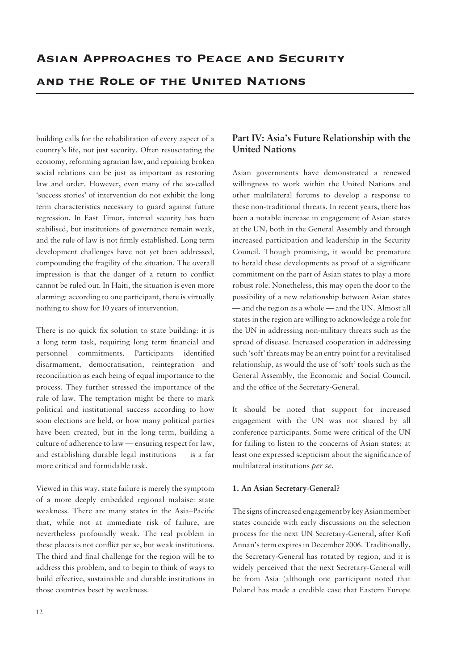# and the Role of the United Nations

building calls for the rehabilitation of every aspect of a country's life, not just security. Often resuscitating the economy, reforming agrarian law, and repairing broken social relations can be just as important as restoring law and order. However, even many of the so-called 'success stories' of intervention do not exhibit the long term characteristics necessary to guard against future regression. In East Timor, internal security has been stabilised, but institutions of governance remain weak, and the rule of law is not firmly established. Long term development challenges have not yet been addressed, compounding the fragility of the situation. The overall impression is that the danger of a return to conflict cannot be ruled out. In Haiti, the situation is even more alarming: according to one participant, there is virtually nothing to show for 10 years of intervention.

There is no quick fix solution to state building: it is a long term task, requiring long term financial and personnel commitments. Participants identified disarmament, democratisation, reintegration and reconciliation as each being of equal importance to the process. They further stressed the importance of the rule of law. The temptation might be there to mark political and institutional success according to how soon elections are held, or how many political parties have been created, but in the long term, building a culture of adherence to law — ensuring respect for law, and establishing durable legal institutions — is a far more critical and formidable task.

Viewed in this way, state failure is merely the symptom of a more deeply embedded regional malaise: state weakness. There are many states in the Asia–Pacific that, while not at immediate risk of failure, are nevertheless profoundly weak. The real problem in these places is not conflict per se, but weak institutions. The third and final challenge for the region will be to address this problem, and to begin to think of ways to build effective, sustainable and durable institutions in those countries beset by weakness.

## **Part IV: Asia's Future Relationship with the United Nations**

Asian governments have demonstrated a renewed willingness to work within the United Nations and other multilateral forums to develop a response to these non-traditional threats. In recent years, there has been a notable increase in engagement of Asian states at the UN, both in the General Assembly and through increased participation and leadership in the Security Council. Though promising, it would be premature to herald these developments as proof of a significant commitment on the part of Asian states to play a more robust role. Nonetheless, this may open the door to the possibility of a new relationship between Asian states — and the region as a whole — and the UN. Almost all states in the region are willing to acknowledge a role for the UN in addressing non-military threats such as the spread of disease. Increased cooperation in addressing such 'soft' threats may be an entry point for a revitalised relationship, as would the use of 'soft' tools such as the General Assembly, the Economic and Social Council, and the office of the Secretary-General.

It should be noted that support for increased engagement with the UN was not shared by all conference participants. Some were critical of the UN for failing to listen to the concerns of Asian states; at least one expressed scepticism about the significance of multilateral institutions *per se*.

#### **1. An Asian Secretary-General?**

The signs of increased engagement by key Asian member states coincide with early discussions on the selection process for the next UN Secretary-General, after Kofi Annan's term expires in December 2006. Traditionally, the Secretary-General has rotated by region, and it is widely perceived that the next Secretary-General will be from Asia (although one participant noted that Poland has made a credible case that Eastern Europe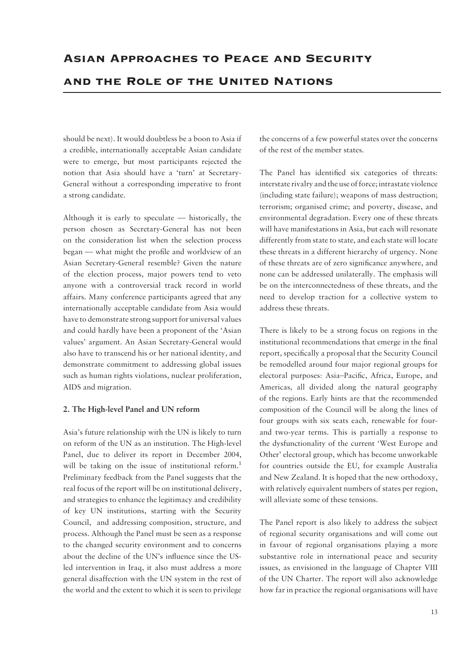should be next). It would doubtless be a boon to Asia if a credible, internationally acceptable Asian candidate were to emerge, but most participants rejected the notion that Asia should have a 'turn' at Secretary-General without a corresponding imperative to front a strong candidate.

Although it is early to speculate — historically, the person chosen as Secretary-General has not been on the consideration list when the selection process began — what might the profile and worldview of an Asian Secretary-General resemble? Given the nature of the election process, major powers tend to veto anyone with a controversial track record in world affairs. Many conference participants agreed that any internationally acceptable candidate from Asia would have to demonstrate strong support for universal values and could hardly have been a proponent of the 'Asian values' argument. An Asian Secretary-General would also have to transcend his or her national identity, and demonstrate commitment to addressing global issues such as human rights violations, nuclear proliferation, AIDS and migration.

#### **2. The High-level Panel and UN reform**

Asia's future relationship with the UN is likely to turn on reform of the UN as an institution. The High-level Panel, due to deliver its report in December 2004, will be taking on the issue of institutional reform.<sup>1</sup> Preliminary feedback from the Panel suggests that the real focus of the report will be on institutional delivery, and strategies to enhance the legitimacy and credibility of key UN institutions, starting with the Security Council, and addressing composition, structure, and process. Although the Panel must be seen as a response to the changed security environment and to concerns about the decline of the UN's influence since the USled intervention in Iraq, it also must address a more general disaffection with the UN system in the rest of the world and the extent to which it is seen to privilege the concerns of a few powerful states over the concerns of the rest of the member states.

The Panel has identified six categories of threats: interstate rivalry and the use of force; intrastate violence (including state failure); weapons of mass destruction; terrorism; organised crime; and poverty, disease, and environmental degradation. Every one of these threats will have manifestations in Asia, but each will resonate differently from state to state, and each state will locate these threats in a different hierarchy of urgency. None of these threats are of zero significance anywhere, and none can be addressed unilaterally. The emphasis will be on the interconnectedness of these threats, and the need to develop traction for a collective system to address these threats.

There is likely to be a strong focus on regions in the institutional recommendations that emerge in the final report, specifically a proposal that the Security Council be remodelled around four major regional groups for electoral purposes: Asia–Pacific, Africa, Europe, and Americas, all divided along the natural geography of the regions. Early hints are that the recommended composition of the Council will be along the lines of four groups with six seats each, renewable for fourand two-year terms. This is partially a response to the dysfunctionality of the current 'West Europe and Other' electoral group, which has become unworkable for countries outside the EU, for example Australia and New Zealand. It is hoped that the new orthodoxy, with relatively equivalent numbers of states per region, will alleviate some of these tensions.

The Panel report is also likely to address the subject of regional security organisations and will come out in favour of regional organisations playing a more substantive role in international peace and security issues, as envisioned in the language of Chapter VIII of the UN Charter. The report will also acknowledge how far in practice the regional organisations will have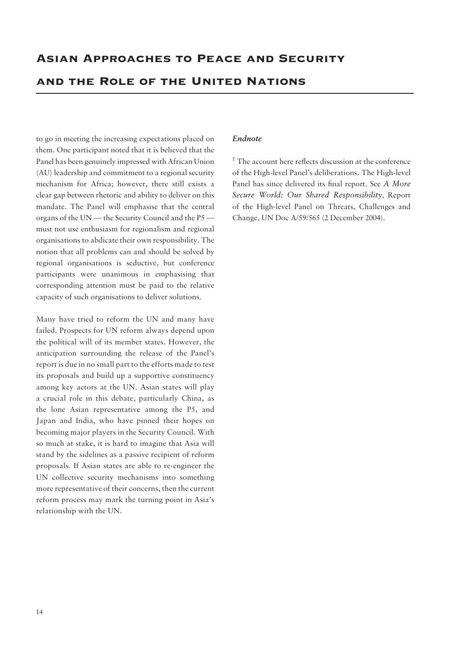and the Role of the United Nations

to go in meeting the increasing expectations placed on them. One participant noted that it is believed that the Panel has been genuinely impressed with African Union (AU) leadership and commitment to a regional security mechanism for Africa; however, there still exists a clear gap between rhetoric and ability to deliver on this mandate. The Panel will emphasise that the central organs of the UN — the Security Council and the P5 must not use enthusiasm for regionalism and regional organisations to abdicate their own responsibility. The notion that all problems can and should be solved by regional organisations is seductive, but conference participants were unanimous in emphasising that corresponding attention must be paid to the relative capacity of such organisations to deliver solutions.

Many have tried to reform the UN and many have failed. Prospects for UN reform always depend upon the political will of its member states. However, the anticipation surrounding the release of the Panel's report is due in no small part to the efforts made to test its proposals and build up a supportive constituency among key actors at the UN. Asian states will play a crucial role in this debate, particularly China, as the lone Asian representative among the P5, and Japan and India, who have pinned their hopes on becoming major players in the Security Council. With so much at stake, it is hard to imagine that Asia will stand by the sidelines as a passive recipient of reform proposals. If Asian states are able to re-engineer the UN collective security mechanisms into something more representative of their concerns, then the current reform process may mark the turning point in Asia's relationship with the UN.

#### *Endnote*

<sup>1</sup> The account here reflects discussion at the conference of the High-level Panel's deliberations. The High-level Panel has since delivered its final report. See *A More Secure World: Our Shared Responsibility*, Report of the High-level Panel on Threats, Challenges and Change, UN Doc A/59/565 (2 December 2004).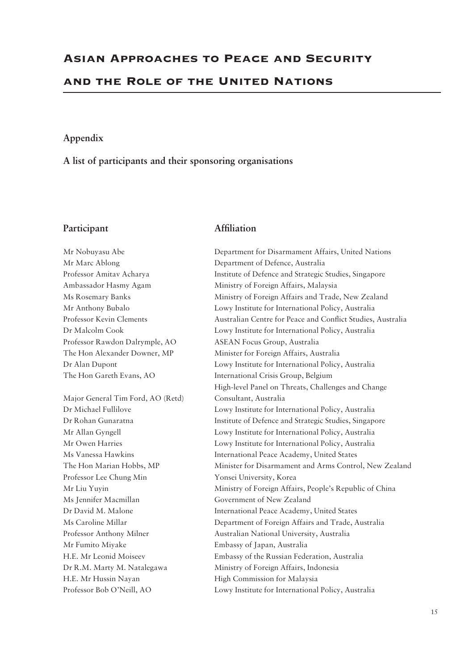#### **Appendix**

**A list of participants and their sponsoring organisations**

#### Participant **Affiliation**

Professor Rawdon Dalrymple, AO ASEAN Focus Group, Australia Major General Tim Ford, AO (Retd) Consultant, Australia

Professor Lee Chung Min Yonsei University, Korea Ms Jennifer Macmillan Government of New Zealand Mr Fumito Miyake Embassy of Japan, Australia H.E. Mr Hussin Nayan High Commission for Malaysia

Mr Nobuyasu Abe Department for Disarmament Affairs, United Nations Mr Marc Ablong Department of Defence, Australia Professor Amitav Acharya **Institute of Defence and Strategic Studies**, Singapore Ambassador Hasmy Agam Ministry of Foreign Affairs, Malaysia Ms Rosemary Banks Ministry of Foreign Affairs and Trade, New Zealand Mr Anthony Bubalo Lowy Institute for International Policy, Australia Professor Kevin Clements Australian Centre for Peace and Conflict Studies, Australia Dr Malcolm Cook Lowy Institute for International Policy, Australia The Hon Alexander Downer, MP Minister for Foreign Affairs, Australia Dr Alan Dupont Lowy Institute for International Policy, Australia The Hon Gareth Evans, AO International Crisis Group, Belgium High-level Panel on Threats, Challenges and Change Dr Michael Fullilove Lowy Institute for International Policy, Australia Dr Rohan Gunaratna Institute of Defence and Strategic Studies, Singapore Mr Allan Gyngell Lowy Institute for International Policy, Australia Mr Owen Harries Lowy Institute for International Policy, Australia Ms Vanessa Hawkins **International Peace Academy**, United States The Hon Marian Hobbs, MP Minister for Disarmament and Arms Control, New Zealand Mr Liu Yuyin Ministry of Foreign Affairs, People's Republic of China Dr David M. Malone International Peace Academy, United States Ms Caroline Millar Department of Foreign Affairs and Trade, Australia Professor Anthony Milner Australian National University, Australia H.E. Mr Leonid Moiseev Embassy of the Russian Federation, Australia Dr R.M. Marty M. Natalegawa Ministry of Foreign Affairs, Indonesia Professor Bob O'Neill, AO Lowy Institute for International Policy, Australia